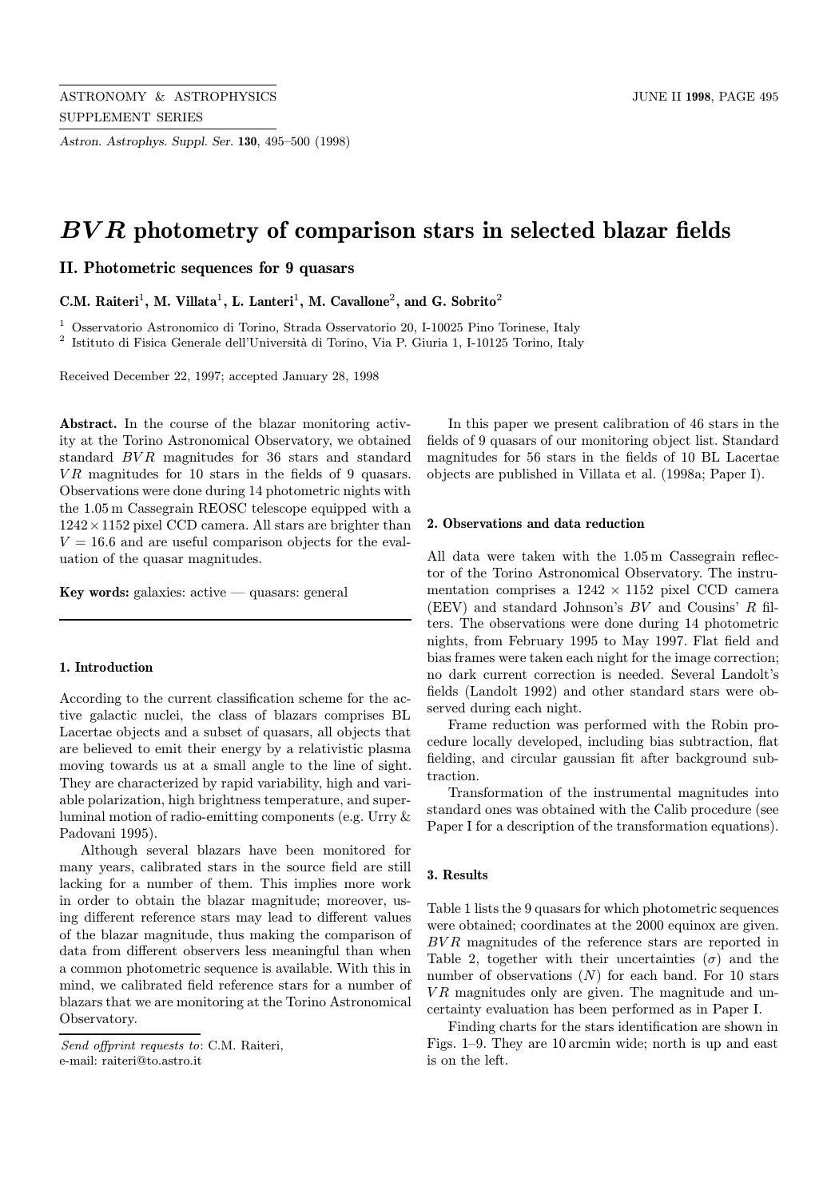Astron. Astrophys. Suppl. Ser. 130, 495–500 (1998)

# BV R photometry of comparison stars in selected blazar fields

II. Photometric sequences for 9 quasars

C.M. Raiteri<sup>1</sup>, M. Villata<sup>1</sup>, L. Lanteri<sup>1</sup>, M. Cavallone<sup>2</sup>, and G. Sobrito<sup>2</sup>

<sup>1</sup> Osservatorio Astronomico di Torino, Strada Osservatorio 20, I-10025 Pino Torinese, Italy  $2$  Istituto di Fisica Generale dell'Università di Torino, Via P. Giuria 1, I-10125 Torino, Italy

Received December 22, 1997; accepted January 28, 1998

Abstract. In the course of the blazar monitoring activity at the Torino Astronomical Observatory, we obtained standard BVR magnitudes for 36 stars and standard  $VR$  magnitudes for 10 stars in the fields of 9 quasars. Observations were done during 14 photometric nights with the 1.05 m Cassegrain REOSC telescope equipped with a  $1242 \times 1152$  pixel CCD camera. All stars are brighter than  $V = 16.6$  and are useful comparison objects for the evaluation of the quasar magnitudes.

Key words: galaxies: active  $-$  quasars: general

#### 1. Introduction

According to the current classification scheme for the active galactic nuclei, the class of blazars comprises BL Lacertae objects and a subset of quasars, all objects that are believed to emit their energy by a relativistic plasma moving towards us at a small angle to the line of sight. They are characterized by rapid variability, high and variable polarization, high brightness temperature, and superluminal motion of radio-emitting components (e.g. Urry & Padovani 1995).

Although several blazars have been monitored for many years, calibrated stars in the source field are still lacking for a number of them. This implies more work in order to obtain the blazar magnitude; moreover, using different reference stars may lead to different values of the blazar magnitude, thus making the comparison of data from different observers less meaningful than when a common photometric sequence is available. With this in mind, we calibrated field reference stars for a number of blazars that we are monitoring at the Torino Astronomical Observatory.

In this paper we present calibration of 46 stars in the fields of 9 quasars of our monitoring object list. Standard magnitudes for 56 stars in the fields of 10 BL Lacertae objects are published in Villata et al. (1998a; Paper I).

## 2. Observations and data reduction

All data were taken with the 1.05 m Cassegrain reflector of the Torino Astronomical Observatory. The instrumentation comprises a  $1242 \times 1152$  pixel CCD camera (EEV) and standard Johnson's BV and Cousins' R filters. The observations were done during 14 photometric nights, from February 1995 to May 1997. Flat field and bias frames were taken each night for the image correction; no dark current correction is needed. Several Landolt's fields (Landolt 1992) and other standard stars were observed during each night.

Frame reduction was performed with the Robin procedure locally developed, including bias subtraction, flat fielding, and circular gaussian fit after background subtraction.

Transformation of the instrumental magnitudes into standard ones was obtained with the Calib procedure (see Paper I for a description of the transformation equations).

#### 3. Results

Table 1 lists the 9 quasars for which photometric sequences were obtained; coordinates at the 2000 equinox are given. BVR magnitudes of the reference stars are reported in Table 2, together with their uncertainties  $(\sigma)$  and the number of observations  $(N)$  for each band. For 10 stars  $VR$  magnitudes only are given. The magnitude and uncertainty evaluation has been performed as in Paper I.

Finding charts for the stars identification are shown in Figs. 1–9. They are 10 arcmin wide; north is up and east is on the left.

Send offprint requests to: C.M. Raiteri, e-mail: raiteri@to.astro.it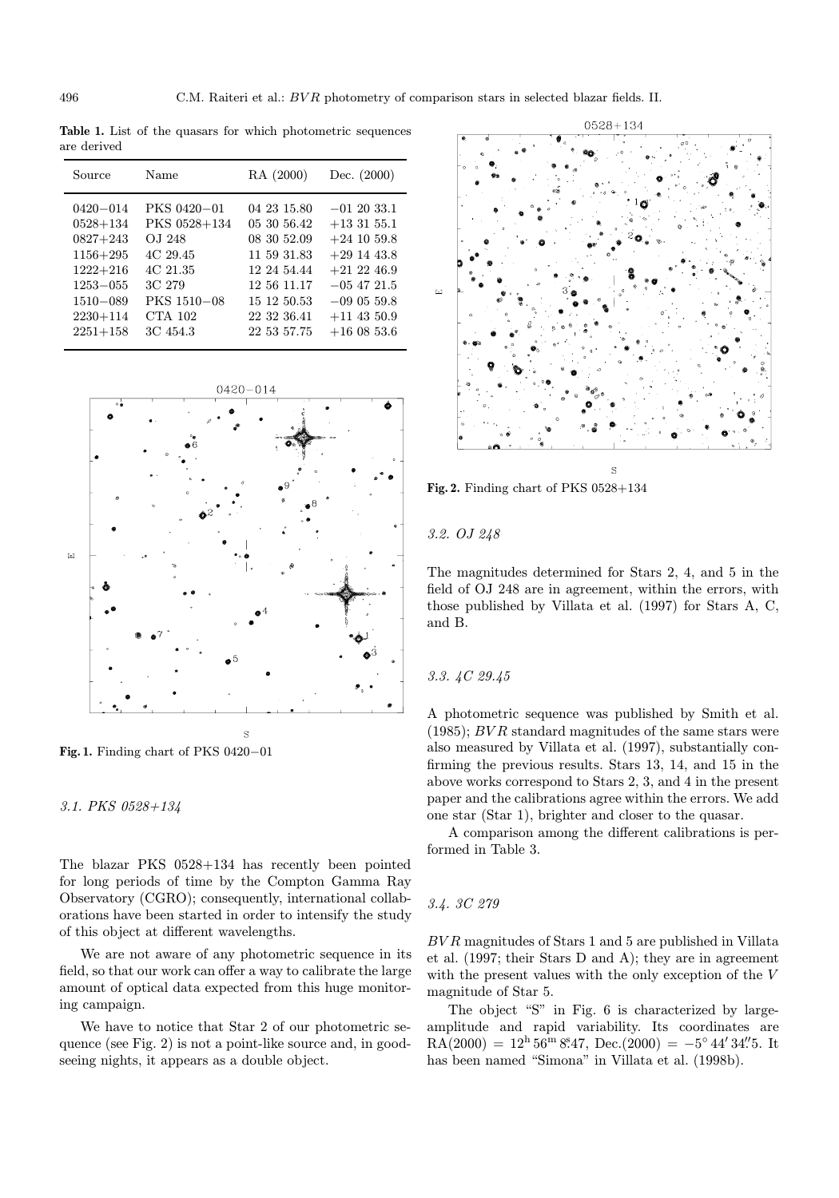Table 1. List of the quasars for which photometric sequences are derived

| PKS 0420-01<br>$0420 - 014$<br>04 23 15.80<br>$-012033.1$                                                                                                                                                                                                                                                                                                                                                                                                                                  |  |
|--------------------------------------------------------------------------------------------------------------------------------------------------------------------------------------------------------------------------------------------------------------------------------------------------------------------------------------------------------------------------------------------------------------------------------------------------------------------------------------------|--|
| PKS 0528+134<br>$0528 + 134$<br>05 30 56.42<br>$+133155.1$<br>$+24$ 10 59.8<br>$0827 + 243$<br>OJ 248<br>08 30 52.09<br>4C 29.45<br>$1156 + 295$<br>11 59 31.83<br>$+29$ 14 43.8<br>$1222 + 216$<br>4C 21.35<br>$+21$ 22 46.9<br>12 24 54.44<br>3C 279<br>12 56 11.17<br>$-05$ 47 21.5<br>$1253 - 055$<br>PKS 1510-08<br>15 12 50.53<br>$1510 - 089$<br>$-090559.8$<br>CTA 102<br>$2230 + 114$<br>22 32 36.41<br>$+11$ 43 50.9<br>$2251 + 158$<br>3C 454.3<br>22 53 57.75<br>$+16$ 08 53.6 |  |



Fig. 1. Finding chart of PKS 0420−01

3.1. PKS 0528+134

The blazar PKS 0528+134 has recently been pointed for long periods of time by the Compton Gamma Ray Observatory (CGRO); consequently, international collaborations have been started in order to intensify the study of this object at different wavelengths.

We are not aware of any photometric sequence in its field, so that our work can offer a way to calibrate the large amount of optical data expected from this huge monitoring campaign.

We have to notice that Star 2 of our photometric sequence (see Fig. 2) is not a point-like source and, in goodseeing nights, it appears as a double object.



Fig. 2. Finding chart of PKS 0528+134

3.2. OJ 248

The magnitudes determined for Stars 2, 4, and 5 in the field of OJ 248 are in agreement, within the errors, with those published by Villata et al. (1997) for Stars A, C, and B.

### 3.3. 4C 29.45

A photometric sequence was published by Smith et al.  $(1985);$  BVR standard magnitudes of the same stars were also measured by Villata et al. (1997), substantially confirming the previous results. Stars 13, 14, and 15 in the above works correspond to Stars 2, 3, and 4 in the present paper and the calibrations agree within the errors. We add one star (Star 1), brighter and closer to the quasar.

A comparison among the different calibrations is performed in Table 3.

#### 3.4. 3C 279

BV R magnitudes of Stars 1 and 5 are published in Villata et al. (1997; their Stars D and A); they are in agreement with the present values with the only exception of the V magnitude of Star 5.

The object "S" in Fig. 6 is characterized by largeamplitude and rapid variability. Its coordinates are  $RA(2000) = 12<sup>h</sup> 56<sup>m</sup> 8<sup>s</sup>47, Dec.(2000) = -5<sup>°</sup> 44' 34''.5. It$ has been named "Simona" in Villata et al. (1998b).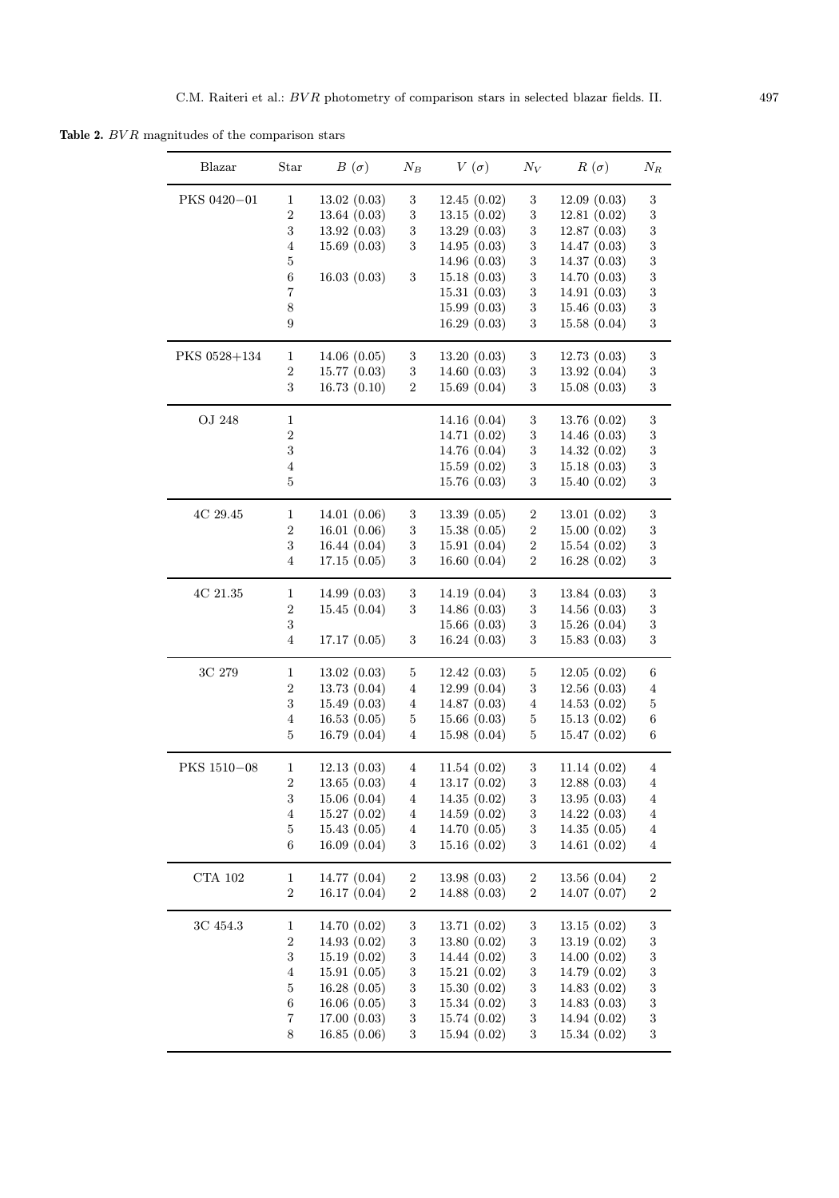Table 2.  $BVR$  magnitudes of the comparison stars

| Blazar       | Star                    | $B(\sigma)$  | $N_B$            | $V(\sigma)$  | $N_V$            | $R(\sigma)$  | $N_R$                   |
|--------------|-------------------------|--------------|------------------|--------------|------------------|--------------|-------------------------|
| PKS 0420-01  | $\mathbf{1}$            | 13.02(0.03)  | 3                | 12.45(0.02)  | $\,3$            | 12.09(0.03)  | $\,3$                   |
|              | $\overline{2}$          | 13.64(0.03)  | $\sqrt{3}$       | 13.15(0.02)  | $\,3$            | 12.81(0.02)  | $\,3$                   |
|              | $\,3$                   | 13.92(0.03)  | $\,3$            | 13.29(0.03)  | $\,3$            | 12.87(0.03)  | $\,3$                   |
|              | $\overline{\mathbf{4}}$ | 15.69(0.03)  | $\,3$            | 14.95(0.03)  | $\,3$            | 14.47(0.03)  | $\boldsymbol{3}$        |
|              | 5                       |              |                  | 14.96(0.03)  | $\,3$            | 14.37(0.03)  | $\boldsymbol{3}$        |
|              | 6                       | 16.03(0.03)  | $\sqrt{3}$       | 15.18(0.03)  | $\,3$            | 14.70 (0.03) | $\boldsymbol{3}$        |
|              | $\overline{7}$          |              |                  | 15.31(0.03)  | $\,3$            | 14.91(0.03)  | $\,3$                   |
|              | $8\,$                   |              |                  | 15.99(0.03)  | $\,3$            | 15.46(0.03)  | $\overline{\mathbf{3}}$ |
|              | 9                       |              |                  | 16.29(0.03)  | $\,3$            | 15.58(0.04)  | 3                       |
| PKS 0528+134 | 1                       | 14.06(0.05)  | 3                | 13.20(0.03)  | 3                | 12.73(0.03)  | $\sqrt{3}$              |
|              | $\,2$                   | 15.77(0.03)  | $\sqrt{3}$       | 14.60(0.03)  | $\,3$            | 13.92(0.04)  | $\,3$                   |
|              | 3                       | 16.73(0.10)  | $\boldsymbol{2}$ | 15.69(0.04)  | $\sqrt{3}$       | 15.08(0.03)  | 3                       |
| OJ 248       | $\mathbf{1}$            |              |                  | 14.16 (0.04) | 3                | 13.76 (0.02) | $\sqrt{3}$              |
|              | $\overline{2}$          |              |                  | 14.71 (0.02) | $\sqrt{3}$       | 14.46(0.03)  | $\,3$                   |
|              | 3                       |              |                  | 14.76 (0.04) | $\,3$            | 14.32 (0.02) | $\,3$                   |
|              | $\overline{4}$          |              |                  | 15.59(0.02)  | $\,3$            | 15.18(0.03)  | $\,3$                   |
|              | $\overline{5}$          |              |                  | 15.76(0.03)  | $\,3$            | 15.40(0.02)  | 3                       |
| 4C 29.45     | 1                       | 14.01(0.06)  | 3                | 13.39(0.05)  | $\boldsymbol{2}$ | 13.01(0.02)  | $\,3$                   |
|              | $\,2$                   | 16.01(0.06)  | 3                | 15.38(0.05)  | $\boldsymbol{2}$ | 15.00(0.02)  | $\sqrt{3}$              |
|              | $\boldsymbol{3}$        | 16.44 (0.04) | $\,3$            | 15.91 (0.04) | $\,2$            | 15.54(0.02)  | $\,3$                   |
|              | 4                       | 17.15(0.05)  | $\,3$            | 16.60(0.04)  | $\boldsymbol{2}$ | 16.28(0.02)  | 3                       |
|              |                         |              |                  |              |                  |              |                         |
| 4C 21.35     | 1                       | 14.99(0.03)  | 3                | 14.19(0.04)  | 3                | 13.84(0.03)  | 3                       |
|              | $\overline{2}$          | 15.45(0.04)  | 3                | 14.86(0.03)  | $\,3$            | 14.56(0.03)  | $\,3$                   |
|              | $\,3$                   |              |                  | 15.66(0.03)  | $\sqrt{3}$       | 15.26(0.04)  | $\boldsymbol{3}$        |
|              | $\overline{4}$          | 17.17(0.05)  | $\sqrt{3}$       | 16.24(0.03)  | $\sqrt{3}$       | 15.83(0.03)  | 3                       |
| 3C 279       | $\mathbf{1}$            | 13.02(0.03)  | $\mathbf 5$      | 12.42(0.03)  | $\sqrt{5}$       | 12.05(0.02)  | 6                       |
|              | $\boldsymbol{2}$        | 13.73(0.04)  | $\overline{4}$   | 12.99(0.04)  | $\sqrt{3}$       | 12.56(0.03)  | $\bf{4}$                |
|              | 3                       | 15.49(0.03)  | $\overline{4}$   | 14.87(0.03)  | $\overline{4}$   | 14.53(0.02)  | $\mathbf 5$             |
|              | $\overline{4}$          | 16.53(0.05)  | $\mathbf 5$      | 15.66(0.03)  | $\mathbf 5$      | 15.13(0.02)  | 6                       |
|              | 5                       | 16.79 (0.04) | 4                | 15.98(0.04)  | $\bf 5$          | 15.47(0.02)  | 6                       |
| PKS 1510-08  | 1                       | 12.13(0.03)  | 4                | 11.54(0.02)  | 3                | 11.14(0.02)  | $\overline{4}$          |
|              | 2                       | 13.65(0.03)  | 4                | 13.17 (0.02) | $\boldsymbol{3}$ | 12.88(0.03)  | 4                       |
|              | 3                       | 15.06(0.04)  | $\overline{4}$   | 14.35(0.02)  | $\sqrt{3}$       | 13.95(0.03)  | $\overline{4}$          |
|              | $\overline{\mathbf{4}}$ | 15.27(0.02)  | $\overline{4}$   | 14.59(0.02)  | $\,3$            | 14.22(0.03)  | $\bf{4}$                |
|              | $\bf 5$                 | 15.43(0.05)  | $\overline{4}$   | 14.70(0.05)  | $\,3$            | 14.35(0.05)  | $\bf{4}$                |
|              | $\,6\,$                 | 16.09(0.04)  | $\sqrt{3}$       | 15.16(0.02)  | $\sqrt{3}$       | 14.61(0.02)  | $\overline{4}$          |
| CTA $102$    | $\mathbf{1}$            | 14.77 (0.04) | $\boldsymbol{2}$ | 13.98(0.03)  | $\boldsymbol{2}$ | 13.56(0.04)  | $\,2$                   |
|              | $\,2$                   | 16.17(0.04)  | $\,2$            | 14.88 (0.03) | $\,2$            | 14.07(0.07)  | $\,2$                   |
|              |                         |              |                  |              |                  |              |                         |
| 3C 454.3     | $\mathbf 1$             | 14.70 (0.02) | 3                | 13.71 (0.02) | $\sqrt{3}$       | 13.15(0.02)  | $\sqrt{3}$              |
|              | $\,2$                   | 14.93 (0.02) | 3                | 13.80(0.02)  | $\sqrt{3}$       | 13.19(0.02)  | $\,3$                   |
|              | 3                       | 15.19(0.02)  | $\sqrt{3}$       | 14.44 (0.02) | $\sqrt{3}$       | 14.00(0.02)  | $\,3$                   |
|              | $\overline{\mathbf{4}}$ | 15.91(0.05)  | $\sqrt{3}$       | 15.21(0.02)  | $\,3$            | 14.79 (0.02) | $\,3$                   |
|              | 5                       | 16.28(0.05)  | 3                | 15.30(0.02)  | $\,3$            | 14.83(0.02)  | $\,3$                   |
|              | 6                       | 16.06(0.05)  | $\sqrt{3}$       | 15.34(0.02)  | $\sqrt{3}$       | 14.83(0.03)  | $\sqrt{3}$              |
|              | $\overline{7}$          | 17.00(0.03)  | $\sqrt{3}$       | 15.74(0.02)  | $\sqrt{3}$       | 14.94 (0.02) | $\,3$                   |
|              | 8                       | 16.85(0.06)  | $\sqrt{3}$       | 15.94(0.02)  | $\sqrt{3}$       | 15.34(0.02)  | $\,3$                   |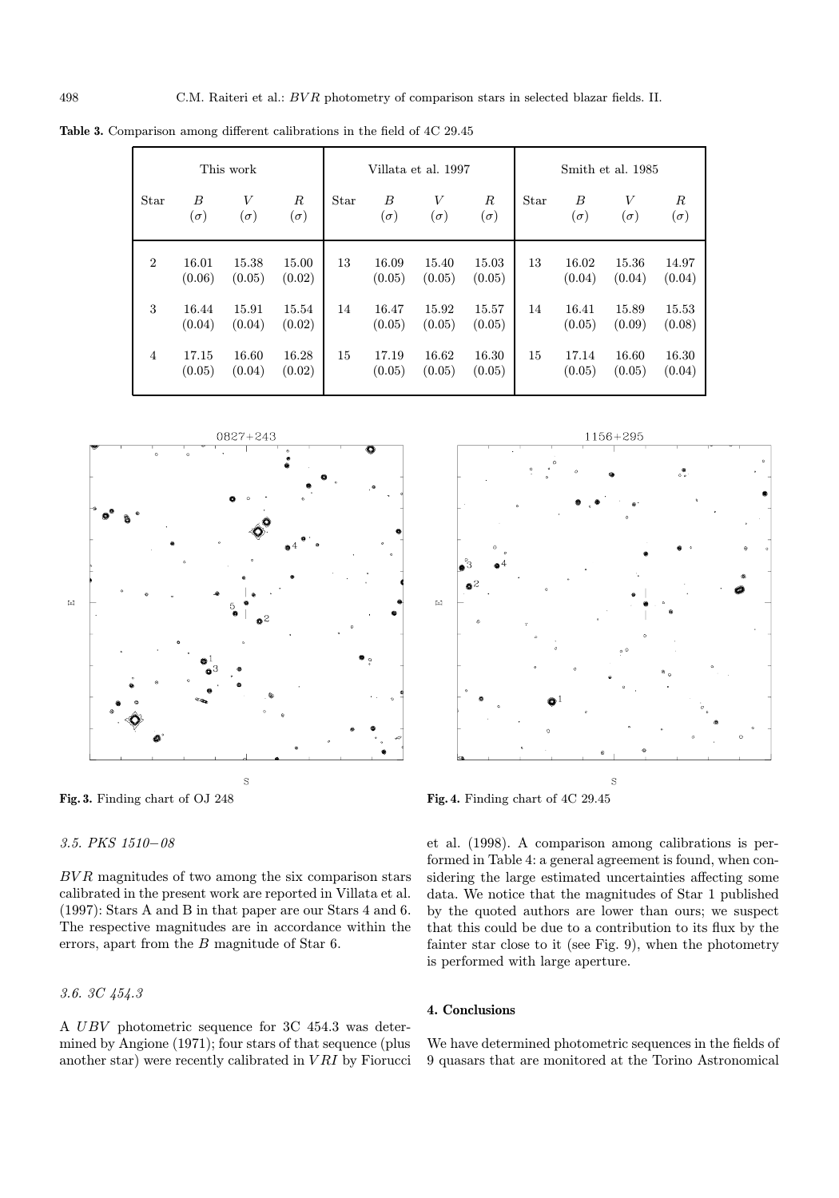| This work      |                 |                 |                                | Villata et al. 1997 |                 |                                |                      | Smith et al. 1985 |                 |                 |                                |
|----------------|-----------------|-----------------|--------------------------------|---------------------|-----------------|--------------------------------|----------------------|-------------------|-----------------|-----------------|--------------------------------|
| Star           | B<br>$(\sigma)$ | V<br>$(\sigma)$ | $\boldsymbol{R}$<br>$(\sigma)$ | Star                | B<br>$(\sigma)$ | $\boldsymbol{V}$<br>$(\sigma)$ | $_{R}$<br>$(\sigma)$ | Star              | B<br>$(\sigma)$ | V<br>$(\sigma)$ | $\boldsymbol{R}$<br>$(\sigma)$ |
| $\overline{2}$ | 16.01<br>(0.06) | 15.38<br>(0.05) | 15.00<br>(0.02)                | 13                  | 16.09<br>(0.05) | 15.40<br>(0.05)                | 15.03<br>(0.05)      | 13                | 16.02<br>(0.04) | 15.36<br>(0.04) | 14.97<br>(0.04)                |
| 3              | 16.44<br>(0.04) | 15.91<br>(0.04) | 15.54<br>(0.02)                | 14                  | 16.47<br>(0.05) | 15.92<br>(0.05)                | 15.57<br>(0.05)      | 14                | 16.41<br>(0.05) | 15.89<br>(0.09) | 15.53<br>(0.08)                |
| $\overline{4}$ | 17.15<br>(0.05) | 16.60<br>(0.04) | 16.28<br>(0.02)                | 15                  | 17.19<br>(0.05) | 16.62<br>(0.05)                | 16.30<br>(0.05)      | 15                | 17.14<br>(0.05) | 16.60<br>(0.05) | 16.30<br>(0.04)                |

Table 3. Comparison among different calibrations in the field of 4C 29.45



Fig. 3. Finding chart of OJ 248

3.5. PKS 1510−08

# Fig. 4. Finding chart of 4C 29.45

 $BVR$  magnitudes of two among the six comparison stars calibrated in the present work are reported in Villata et al. (1997): Stars A and B in that paper are our Stars 4 and 6. The respective magnitudes are in accordance within the errors, apart from the B magnitude of Star 6.

3.6. 3C 454.3

A UBV photometric sequence for 3C 454.3 was determined by Angione (1971); four stars of that sequence (plus another star) were recently calibrated in  $VRI$  by Fiorucci sidering the large estimated uncertainties affecting some data. We notice that the magnitudes of Star 1 published by the quoted authors are lower than ours; we suspect that this could be due to a contribution to its flux by the fainter star close to it (see Fig. 9), when the photometry is performed with large aperture.

et al. (1998). A comparison among calibrations is performed in Table 4: a general agreement is found, when con-

# 4. Conclusions

We have determined photometric sequences in the fields of 9 quasars that are monitored at the Torino Astronomical

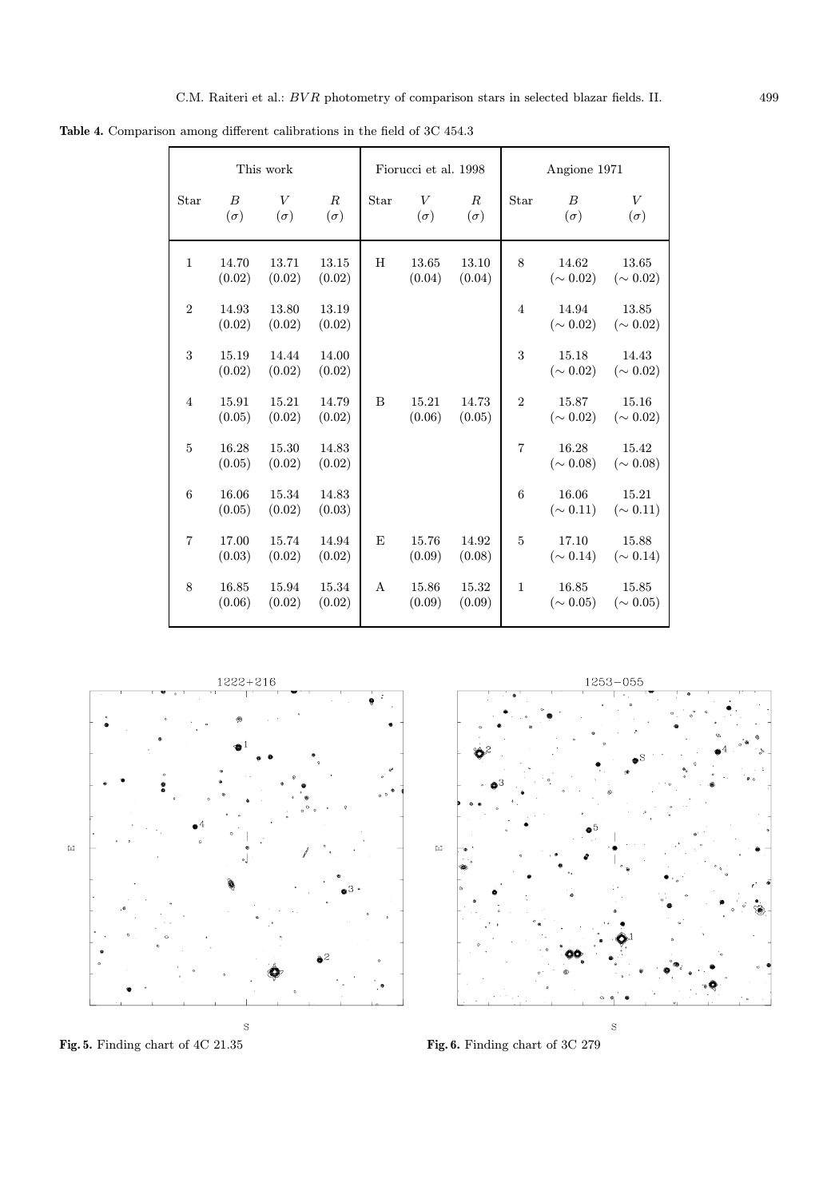Table 4. Comparison among different calibrations in the field of 3C 454.3

| This work      |                                |                 |                                |              | Fiorucci et al. 1998 |                                | Angione 1971   |                                |                          |
|----------------|--------------------------------|-----------------|--------------------------------|--------------|----------------------|--------------------------------|----------------|--------------------------------|--------------------------|
| Star           | $\boldsymbol{B}$<br>$(\sigma)$ | V<br>$(\sigma)$ | $\boldsymbol{R}$<br>$(\sigma)$ | Star         | V<br>$(\sigma)$      | $\boldsymbol{R}$<br>$(\sigma)$ | Star           | $\boldsymbol{B}$<br>$(\sigma)$ | V<br>$(\sigma)$          |
| $\mathbf{1}$   | 14.70<br>(0.02)                | 13.71<br>(0.02) | 13.15<br>(0.02)                | H            | 13.65<br>(0.04)      | 13.10<br>(0.04)                | 8              | 14.62<br>$({\sim 0.02})$       | 13.65<br>$({\sim 0.02})$ |
| $\overline{2}$ | 14.93<br>(0.02)                | 13.80<br>(0.02) | 13.19<br>(0.02)                |              |                      |                                | $\overline{4}$ | $14.94\,$<br>$({\sim 0.02})$   | 13.85<br>$({\sim 0.02})$ |
| 3              | 15.19<br>(0.02)                | 14.44<br>(0.02) | 14.00<br>(0.02)                |              |                      |                                | 3              | 15.18<br>$({\sim 0.02})$       | 14.43<br>$({\sim 0.02})$ |
| $\overline{4}$ | 15.91<br>(0.05)                | 15.21<br>(0.02) | 14.79<br>(0.02)                | B            | 15.21<br>(0.06)      | 14.73<br>(0.05)                | $\overline{2}$ | 15.87<br>$({\sim 0.02})$       | 15.16<br>$({\sim 0.02})$ |
| $\overline{5}$ | 16.28<br>(0.05)                | 15.30<br>(0.02) | 14.83<br>(0.02)                |              |                      |                                | $\overline{7}$ | 16.28<br>$({\sim 0.08})$       | 15.42<br>$({\sim 0.08})$ |
| 6              | 16.06<br>(0.05)                | 15.34<br>(0.02) | 14.83<br>(0.03)                |              |                      |                                | 6              | 16.06<br>$({\sim 0.11})$       | 15.21<br>$({\sim 0.11})$ |
| $\overline{7}$ | 17.00<br>(0.03)                | 15.74<br>(0.02) | 14.94<br>(0.02)                | E            | 15.76<br>(0.09)      | 14.92<br>(0.08)                | $\overline{5}$ | 17.10<br>$({\sim 0.14})$       | 15.88<br>$(\sim 0.14)$   |
| 8              | 16.85<br>(0.06)                | 15.94<br>(0.02) | 15.34<br>(0.02)                | $\mathsf{A}$ | 15.86<br>(0.09)      | 15.32<br>(0.09)                | $\mathbf{1}$   | 16.85<br>$({\sim 0.05})$       | 15.85<br>$({\sim 0.05})$ |



Fig. 5. Finding chart of 4C 21.35 Fig. 6. Finding chart of 3C 279